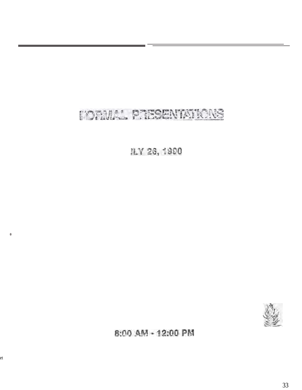# **FORMAL PRESENTATIONS**

ILY 26, 1990



8:00 AM - 12:00 PM

•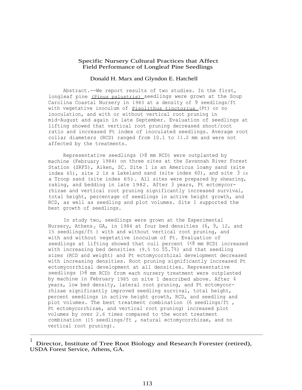### Specific Nursery Cultural Practices that Affect Field Performance of Longleaf Pine Seedlings

### Donald H. Marx and Glyndon E. Hatchell

Abstract.--We report results of two studies. In the first, longleaf pine (Pinus palustris) seedlings were grown at the Soup Carolina Coastal Nursery in 1983 at a density of 9 seedlings/ft with vegetative inoculum of Pisolithus tinctorius (Pt) or no inoculation, and with or without vertical root pruning in mid-August and again in late September. Evaluation of seedlings at lifting showed that vertical root pruning decreased shoot/root ratio and increased Pt index of inoculated seedlings. Average root collar diameters (RCD) ranged from 10.1 to 11.2 mm and were not affected by the treatments.

Representative seedlings (>8 mm RCD) were outplanted by machine (February 1984) on three sites at the Savannah River Forest Station (SRFS), Aiken, SC. Site 1 is an Americus loamy sand (site index 65), site 2 is a Lakeland sand (site index 60), and site 3 is a Troop sand (site index 65). All sites were prepared by shearing, raking, and bedding in late 1982. After 3 years, Pt ectomycorrhizae and vertical root pruning significantly increased survival, total height, percentage of seedlings in active height growth, and RCD, as well as seedling and plot volumes. Site 1 supported the best growth of seedlings.

In study two, seedlings were grown at the Experimental Nursery, Athens, GA, in 1984 at four bed densities (6, 9, 12, and 15 seedlings/ft ) with and without vertical root pruning, and with and without vegetative inoculum of Pt. Evaluation of seedlings at lifting showed that cull percent (<8 mm RCD) increased with increasing bed densities (9.5 to 55.7%) and that seedling sizes (RCD and weight) and Pt ectomycorrhizal development decreased with increasing densities. Root pruning significantly increased Pt ectomycorrhizal development at all densities. Representative seedlings (>8 mm RCD) from each nursery treatment were outplanted by machine in February 1985 on site 1 described above. After 4 years, low bed density, lateral root pruning, and Pt ectomycorrhizae significantly improved seedling survival, total height, percent seedlings in active height growth, RCD, and seedling and plot volumes. The best treatment combination (6 seedlings/ft , Pt ectomycorrhizae, and vertical root pruning) increased plot volumes by over 2.6 times compared to the worst treatment combination (15 seedlings/ft , natural ectomycorrhizae, and no vertical root pruning).

Director, Institute of Tree Root Biology and Research Forester (retired), USDA Forest Service, Athens, GA.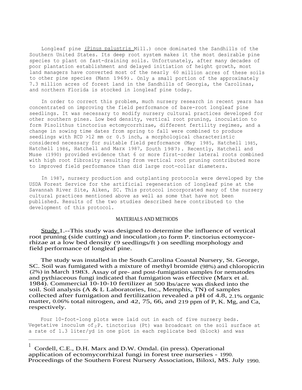Longleaf pine (Pinus palustris Mill.) once dominated the Sandhills of the Southern United States. Its deep root system makes it the most desirable pine species to plant on fast-draining soils. Unfortunately, after many decades of poor plantation establishment and delayed initiation of height growth, most land managers have converted most of the nearly 60 million acres of these soils to other pine species (Mann 1969). Only a small portion of the approximately 7.3 million acres of forest land in the Sandhills of Georgia, the Carolinas, and northern Florida is stocked in longleaf pine today.

In order to correct this problem, much nursery research in recent years has concentrated on improving the field performance of bare-root longleaf pine seedlings. It was necessary to modify nursery cultural practices developed for other southern pines. Low bed density, vertical root pruning, inoculation to form Pisolithus tinctorius ectomycorrhizae, different fertility regimes, and a change in sowing time dates from spring to fall were combined to produce seedlings with RCD >12 mm or 0.5 inch, a morphological characteristic considered necessary for suitable field performance (May 1985, Hatchell 1985, Hatchell 1986, Hatchell and Marx 1987, South 1987). Recently, Hatchell and Muse (1990) provided evidence that 6 or more first-order lateral roots combined with high root fibrosity resulting from vertical root pruning contributed more to improved field performance than did large root-collar diameters.

In 1987, nursery production and outplanting protocols were developed by the USDA Forest Service for the artificial regeneration of longleaf pine at the Savannah River Site, Aiken, SC. This protocol incorporated many of the nursery cultural practices mentioned above as well as some that have not been published. Results of the two studies described here contributed to the development of this protocol.

### MATERIALS AND METHODS

Study 1.--This study was designed to determine the influence of vertical root pruning (side cutting) and inoculation  $_2$  to form P. tinctorius ectomycorrhizae at a low bed density (9 seedlings/ft ) on seedling morphology and field performance of longleaf pine.

The study was installed in the South Carolina Coastal Nursery, St. George, SC. Soil was fumigated with a mixture of methyl bromide (98%) and chloropicrin (2%) in March 1983. Assay of pre- and post-fumigation samples for nematodes and pythiaceous fungi indicated that fumigation was effective (Marx et al. 1984). Commercial 10-10-10 fertilizer at 500 lbs/acre was disked into the soil. Soil analysis (A & L Laboratories, Inc., Memphis, TN) of samples collected after fumigation and fertilization revealed a pH of 4.8, 2.1% organic matter, 0.06% total nitrogen, and  $42, 75, 66$ , and  $219$  ppm of P, K. Mg, and Ca, respectively.

Four 10-foot-long plots were laid out in each of five nursery beds. Vegetative inoculum of  $_2$ P. tinctorius (Pt) was broadcast on the soil surface at a rate of 1.3 liter/yd in one plot in each replicate bed (block) and was

<sup>1</sup> Cordell, C.E., D.H. Marx and D.W. Omdal. (in press). Operational application of ectomycorrhizal fungi in forest tree nurseries - 1990. Proceedings of the Southern Forest Nursery Association, Biloxi, MS. July 1990.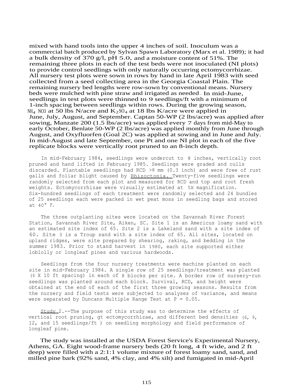mixed with hand tools into the upper 4 inches of soil. Inoculum was a commercial batch produced by Sylvan Spawn Laboratory (Marx et al. 1989); it had a bulk density of 370 g/l, pH 5.0, and a moisture content of 51%. The remaining three plots in each of the test beds were not inoculated (NI plots) to provide control seedlings with only naturally occurring ectomycorrhizae. All nursery test plots were sown in rows by hand in late April 1983 with seed collected from a seed collecting area in the Georgia Coastal Plain. The remaining nursery bed lengths were row-sown by conventional means. Nursery beds were mulched with pine straw and irrigated as needed . In mid-June, seedlings in test plots were thinned to 9 seedlings/ft with a minimum of 1-inch spacing between seedlings within rows. During the growing season,  $NH<sub>4</sub>$  NO3 at 50 lbs N/acre and  $K<sub>2</sub>SO<sub>4</sub>$  at 18 lbs K/acre were applied in June, July, August, and September. Captan 50-WP (2 lbs/acre) was applied after sowing, Manzate 200 (1.5 lbs/acre) was applied every 7 days from mid-May to early October, Benlate 50-WP (2 lbs/acre) was applied monthly from June through August, and Oxyfluorfen (Goal 2C) was applied at sowing and in June and July. In mid-August and late September, one Pt and one NI plot in each of the five replicate blocks were vertically root pruned to an 8-inch depth.

In mid-February 1984, seedlings were undercut to 8 inches, vertically root pruned and hand lifted in February 1985. Seedlings were graded and culls discarded. Plantable seedlings had RCD >8 mm (0.3 inch) and were free of rust galls and foliar blight caused by Rhizoctonia. Twenty-five seedlings were randomly selected from each plot and measured for RCD and top and root fresh weights. Ectomycorrhizae were visually estimated at 5X magnification. Six-hundred seedlings of each treatment were randomly selected and 24 bundles of 25 seedlings each were packed in wet peat moss in seedling bags and stored at 40° F.

The three outplanting sites were located on the Savannah River Forest Station, Savannah River Site, Aiken, SC. Site 1 is an Americus loamy sand with an estimated site index of 65. Site 2 is a Lakeland sand with a site index of 60. Site 3 is a Troup sand with a site index of 65. All sites, located on upland ridges, were site prepared by shearing, raking, and bedding in the summer 1983. Prior to stand harvest in 1980, each site supported either loblolly or longleaf pines and various hardwoods.

Seedlings from the four nursery treatments were machine planted on each site in mid-February 1984. A single row of 25 seedlings/treatment was planted (6 X 10 ft spacing) in each of 8 blocks per site. A border row of nursery-run seedlings was planted around each block. Survival, RCD, and height were obtained at the end of each of the first three growing seasons. Results from the nursery and field tests were subjected to analyses of variance, and means were separated by Duncans Multiple Range Test at  $P = 0.05$ .

Study 2.--The purpose of this study was to determine the effects of vertical root pruning, gt ectomycorrhizae, and different bed densities (6, 9, 12, and 15 seedlings/ft ) on seedling morphology and field performance of longleaf pine.

The study was installed at the USDA Forest Service's Experimental Nursery, Athens, GA. Eight wood-frame nursery beds (20 ft long, 4 ft wide, and 2 ft deep) were filled with a 2:1:1 volume mixture of forest loamy sand, sand, and milled pine bark (92% sand, 4% clay, and 4% silt) and fumigated in mid-April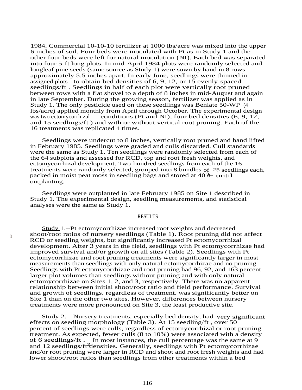1984. Commercial 10-10-10 fertilizer at 1000 lbs/acre was mixed into the upper 6 inches of soil. Four beds were inoculated with Pt as in Study 1 and the other four beds were left for natural inoculation (NI). Each bed was separated into four 5-ft long plots. In mid-April 1984 plots were randomly selected and longleaf pine seeds (same source as Study 1) were sown by hand in 8 rows approximately 5.5 inches apart. In early June, seedlings were thinned in assigned plots to obtain bed densities of  $6, 9, 12$ , or  $15$  evenly-spaced seedlings/ft . Seedlings in half of each plot were vertically root pruned between rows with a flat shovel to a depth of 8 inches in mid-August and again in late September. During the growing season, fertilizer was applied as in Study 1. The only pesticide used on these seedlings was Benlate 50-WP (4 lbs/acre) applied monthly from April through October. The experimental design conditions (Pt and NI), four bed densities  $(6, 9, 12,$ and 15 seedlings/ft ) and with or without vertical root pruning. Each of the 16 treatments was replicated 4 times.

Seedlings were undercut to 8 inches, vertically root pruned and hand lifted in February 1985. Seedlings were graded and culls discarded. Cull standards were the same as Study 1. Ten seedlings were randomly selected from each of the 64 subplots and assessed for RCD, top and root fresh weights, and ectomycorrhizal development. Two-hundred seedlings from each of the 16 treatments were randomly selected, grouped into 8 bundles of 25 seedlings each, meannents were randomly selected, grouped mill 8 bundles of  $25$  seed<br>packed in moist peat moss in seedling bags and stored at  $40 \frac{\text{m}}{\text{F}}$  until outplanting.

Seedlings were outplanted in late February 1985 on Site 1 described in Study 1. The experimental design, seedling measurements, and statistical analyses were the same as Study 1.

## RESULTS

Study 1.--Pt ectomycorrhizae increased root weights and decreased shoot/root ratios of nursery seedlings (Table 1). Root pruning did not affect RCD or seedling weights, but significantly increased Pt ectomycorrhizal development. After 3 years in the field, seedlings with Pt ectomycorrhizae had improved survival and/or growth on all sites (Table 2). Seedlings with Pt ectomycorrhizae and root pruning treatments were significantly larger in most measurements than seedlings with only natural ectomycorrhizae and no pruning. Seedlings with Pt ectomycorrhizae and root pruning had 96, 92, and 163 percent larger plot volumes than seedlings without pruning and with only natural ectomycorrhizae on Sites 1, 2, and 3, respectively. There was no apparent relationship between initial shoot/root ratio and field performance. Survival and growth of seedlings, regardless of treatment, was significantly better on Site 1 than on the other two sites. However, differences between nursery treatments were more pronounced on Site 3, the least productive site.

Study 2.-- Nursery treatments, especially bed density, had very significant effects on seedling morphology (Table 3). At 15 seedling/ft , over 50 percent of seedlings were culls, regardless of ectomycorrhizal or root pruning treatment. As expected, fewer culls (8 to 10%) were associated with a density of 6 seedlings/ft. In most instances, the cull percentage was the same at 9 or 6 seedlings/rt . In most instances, the cull percentage was the same at 9 and 12 seedlings/ft<sup>2</sup>densities. Generally, seedlings with Pt ectomycorrhizae and/or root pruning were larger in RCD and shoot and root fresh weights and had lower shoot/root ratios than seedlings from other treatments within a bed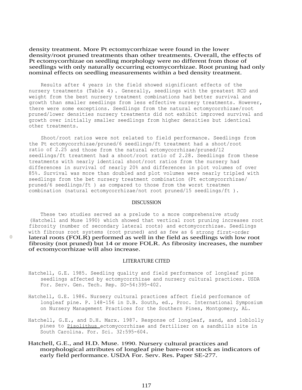density treatment. More Pt ectomycorrhizae were found in the lower density/root pruned treatments than other treatments. Overall, the effects of Pt ectomycorrhizae on seedling morphology were no different from those of seedlings with only naturally occurring ectomycorrhizae. Root pruning had only nominal effects on seedling measurements within a bed density treatment.

Results after 4 years in the field showed significant effects of the nursery treatments (Table 4). Generally, seedlings with the greatest RCD and weight from the best nursery treatment combinations had better survival and growth than smaller seedlings from less effective nursery treatments. However, there were some exceptions. Seedlings from the natural ectomycorrhizae/root pruned/lower densities nursery treatments did not exhibit improved survival and growth over initially smaller seedlings from higher densities but identical other treatments.

Shoot/root ratios were not related to field performance. Seedlings from the Pt ectomycorrhizae/pruned/6 seedlings/ft treatment had a shoot/root ratio of 2.25 and those from the natural ectomycorrhizae/pruned/12 seedlings/ft treatment had a shoot/root ratio of 2.28. Seedlings from these treatments with nearly identical shoot/root ratios from the nursery had differences in survival of nearly 20% and differences in plot volumes of over 85%. Survival was more than doubled and plot volumes were nearly tripled with seedlings from the bet nursery treatment combination (Pt ectomycorrhizae/ pruned/6 seedlings/ft ) as compared to those from the worst treatmen combination (natural ectomycorrhizae/not root pruned/15 seedlings/ft ).

#### DISCUSSION

These two studies served as a prelude to a more comprehensive study (Hatchell and Muse 1990) which showed that vertical root pruning increases root fibrosity (number of secondary lateral roots) and ectomycorrhizae. Seedlings with fibrous root systems (root pruned) and as few as 6 strong first-order  $\theta$  lateral roots (FOLR) performed as well in the field as seedlings with low root fibrosity (not pruned) but 14 or more FOLR. As fibrosity increases, the number of ectomycorrhizae will also increase.

### LITERATURE CITED

- Hatchell, G.E. 1985. Seedling quality and field performance of longleaf pine seedlings affected by ectomycorrhizae and nursery cultural practices. USDA For. Serv. Gen. Tech. Rep. SO-54:395-402.
- Hatchell, G.E. 1986. Nursery cultural practices affect field performance of longleaf pine. P. 148-156 in D.B. South, ed., Proc. International Symposium on Nursery Management Practices for the Southern Pines, Montgomery, AL.
- Hatchell, G.E., and D.H. Marx. 1987. Response of longleaf, sand, and loblolly pines to Pisolithus ectomycorrhizae and fertilizer on a sandhills site in South Carolina. For. Sci. 32:595-604.
- Hatchell, G.E., and H.D. Muse. 1990. Nursery cultural practices and morphological attributes of longleaf pine bare-root stock as indicators of early field performance. USDA For. Serv. Res. Paper SE-277.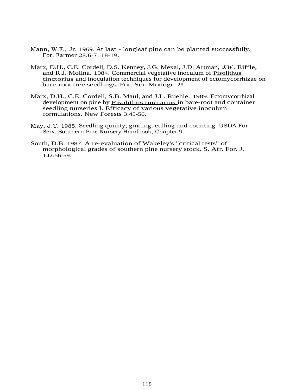- Mann, W.F., Jr. 1969. At last longleaf pine can be planted successfully. For. Farmer 28:6-7, 18-19.
- Marx, D.H., C.E. Cordell, D.S. Kenney, J.G. Mexal, J.D. Artman, *J.W.* Riffle, and R.J. Molina. 1984. Commercial vegetative inoculum of Pisolithus tinctorius and inoculation techniques for development of ectomycorrhizae on bare-root tree seedlings. For. Sci. Monogr. 25.
- Marx, D.H., C.E. Cordell, S.B. Maul, and J.L. Ruehle. 1989. Ectomycorrhizal development on pine by Pisolithus tinctorius in bare-root and container seedling nurseries I. Efficacy of various vegetative inoculum formulations. New Forests 3:45-56.
- May, J.T. 1985. Seedling quality, grading, culling and counting. USDA For. Serv. Southern Pine Nursery Handbook, Chapter 9.
- South, D.B. 1987. A re-evaluation of Wakeley's "critical tests" of morphological grades of southern pine nursery stock. S. Afr. For. J. 142:56-59.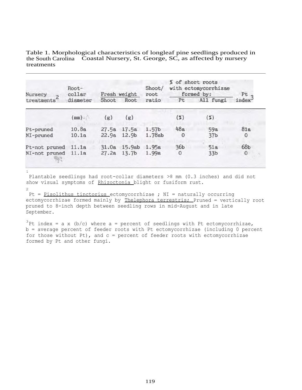Table 1. Morphological characteristics of longleaf pine seedlings produced in the South Carolina Coastal Nursery, St. George, SC, as affected by nursery treatments

| Nursery<br>treatments          | Root-<br>collar<br>diameter | Fresh weight   |                             | Shoot/<br>root              | % of short roots<br>with ectomycorrhizae<br>formed by: |                        | Pt                 |
|--------------------------------|-----------------------------|----------------|-----------------------------|-----------------------------|--------------------------------------------------------|------------------------|--------------------|
|                                |                             | Shoot          | Root                        | ratio                       | Pt                                                     | All fungi              | index <sup>-</sup> |
|                                | (mm)                        | (g)            | (g)                         |                             | $(\%)$                                                 | $(\%)$                 |                    |
| Pt-pruned<br>NI-pruned         | 10.8a<br>10.1a              | 27.5a<br>22.9a | 17.5a<br>12.9b              | 1.57 <sub>b</sub><br>1.78ab | 48a<br>0                                               | 59a<br>37 <sub>b</sub> | 81a<br>$\circ$     |
| Pt-not pruned<br>NI-not pruned | 11.1a<br>11.1a              | 31.0a<br>27.2a | 15.9ab<br>13.7 <sub>b</sub> | 1.95a<br>1.99a              | 36 <sub>b</sub><br>$\circ$                             | 51a<br>33 <sub>b</sub> | 68b<br>$\circ$     |

1

Plantable seedlings had root-collar diameters >8 mm (0.3 inches) and did not show visual symptoms of Rhizoctonia blight or fusiform rust. 2

Pt =  $Pissolutions$  tinctorius ectomycorrhizae ; NI = naturally occurring ectomycorrhizae formed mainly by Thelephora terrestris; Pruned = vertically root pruned to 8-inch depth between seedling rows in mid-August and in late September.

 $3$ Pt index = a x (b/c) where a = percent of seedlings with Pt ectomycorrhizae, b = average percent of feeder roots with Pt ectomycorrhizae (including 0 percent for those without Pt), and  $c =$  percent of feeder roots with ectomycorrhizae formed by Pt and other fungi.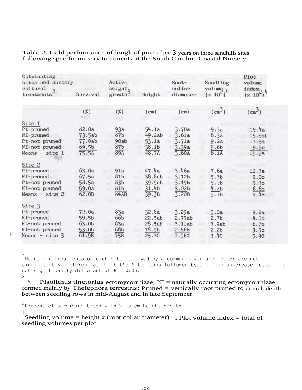| Outplanting<br>sites and nursery<br>cultural<br>treatments <sup>*</sup> | Survival          | Active<br>height,<br>growth <sup>3</sup> | Height            | Root-<br>collar<br>diameter | Seedling<br>volumg, 4<br>$(x 10^{\circ})$ | Plot.<br>volume<br>$index2$ 4<br>$(x 10^{-})$ |  |
|-------------------------------------------------------------------------|-------------------|------------------------------------------|-------------------|-----------------------------|-------------------------------------------|-----------------------------------------------|--|
|                                                                         | (%)               | $(\%)$                                   | (cm)              | (cm)                        | (cm <sup>3</sup> )                        | (cm <sup>3</sup> )                            |  |
| Site 1                                                                  |                   |                                          |                   |                             |                                           |                                               |  |
| Pt-pruned                                                               | 82.0a             | 93a                                      | 54.1a             | 3.70a                       | 9.3a                                      | 19.4a                                         |  |
| NI-pruned                                                               | 73.5ab            | 87 <sub>b</sub>                          | 49.2ab            | 3.61a                       | 8.3a                                      | 15.5ab                                        |  |
| Pt-not pruned                                                           | 77.0ab            | 90ab                                     | 53.1a             | 3.71a                       | 9.2a                                      | 17.3a                                         |  |
| NI-not pruned                                                           | 69.5 <sub>b</sub> | 87 <sub>b</sub>                          | 38.1 <sub>b</sub> | 3.39a                       | 5.6 <sub>b</sub>                          | 9.9 <sub>b</sub>                              |  |
| Means - site 1                                                          | 75.5A             | 89A                                      | 48.7A             | 3.60A                       | 8.1A                                      | 15.5A                                         |  |
| Site 2<br>Pt-pruned                                                     | 63.0a             | 91a                                      | 47.4a             | 3.46a                       |                                           |                                               |  |
| NI-pruned                                                               | 67.5a             | 81b                                      | 38.8ab            | 3.12 <sub>b</sub>           | 7.6a<br>5.3 <sub>b</sub>                  | 12.7a<br>9.0 <sub>b</sub>                     |  |
| Pt-not pruned                                                           | 58.5a             | 83 <sub>b</sub>                          | 39.9ab            | 3.19 <sub>b</sub>           | 5.9 <sub>b</sub>                          | 9.3 <sub>b</sub>                              |  |
| NI-not pruned                                                           | 59.0a             | 81b                                      | 31.4b             | 3.02 <sub>b</sub>           | 4.2 <sub>b</sub>                          | 6.6 <sub>b</sub>                              |  |
| Means - site 2                                                          | 62.0B             | 84AB                                     | 39.3B             | 3.20B                       | 5.7B                                      | 9.4B                                          |  |
| Site 3                                                                  |                   |                                          |                   |                             |                                           |                                               |  |
| Pt-pruned                                                               | 72.0a             | 83a                                      | 32.8a             | 3.29a                       | 5.0a                                      | 9.2a                                          |  |
| NI-pruned                                                               | 59.5b             | 66b                                      | 22.5ab            | 2.79ab                      | 2.7 <sub>b</sub>                          | 4.0c                                          |  |
| Pt-not pruned                                                           | 63.0b             | 83a                                      | 28.5ab            | 3.11ab                      | 3.9ab                                     | 6.7 <sub>b</sub>                              |  |
| NI-not pruned                                                           | 53.0b             | 68 <sub>b</sub>                          | 18.9b             | 2.66b                       | 2.2 <sub>b</sub>                          | 3.5c                                          |  |
| Means - site $3$                                                        | 61.9B             | 75B                                      | 25.7C             | 2.96 <sub>C</sub>           | 3.4 <sub>C</sub>                          | 5.9C                                          |  |

Table 2. Field performance of longleaf pine after 3 years on three sandhills sites following specific nursery treatments at the South Carolina Coastal Nursery.

Means for treatments on each site followed by a common lowercase letter are not significantly different at  $P = 0.05$ ; Site means followed by a common uppercase letter are not significantly different at  $P = 0.05$ .  $\overline{2}$ 

 $Pt = P is a stationary point  $Pt = 0$  is a stationary point  $Pt = 0$ .$ formed mainly by Thelephora terrestris; Pruned  $=$  vertically root pruned to  $\overline{8}$  inch depth between seedling rows in mid-August and in late September.

<sup>3</sup> Percent of surviving trees with  $> 10$  cm height growth.

 $\bullet$ 

1

4

 $\mathcal{D}$ 

Seedling volume = height x (root collar diameter) ; Plot volume index = total of seedling volumes per plot.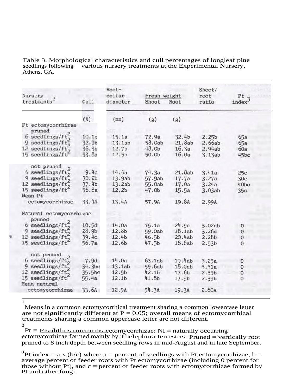Table 3. Morphological characteristics and cull percentages of longleaf pine seedlings following various nursery treatments at the Experimental Nursery, Athens, GA.

| Nursery                           |                   | Root-<br>collar   | Fresh weight      |                   | Shoot/<br>root    | Pt<br>index <sup>-</sup> |  |
|-----------------------------------|-------------------|-------------------|-------------------|-------------------|-------------------|--------------------------|--|
| treatments                        | Cu11              | diameter          | Shoot<br>Root     |                   | ratio             |                          |  |
|                                   | (%)               | (mm)              |                   |                   |                   |                          |  |
| Pt ectomycorrhizae<br>pruned      |                   |                   | (g)               | (g)               |                   |                          |  |
| $6$ seedlings/ft <sup>2</sup>     | 10.1c             | 15.1a             | 72.9a             | 32.4 <sub>b</sub> | 2.25 <sub>b</sub> | 65a                      |  |
| seedlings/ft <sub>2</sub><br>9    | 32.9b             | 13.1ab            | 58.0ab            | 21.8ab            | 2.66ab            | 65a                      |  |
| 12 seedlings/ft <sub>2</sub>      | 36.3b             | 12.7 <sub>b</sub> | 48.0b             | 16.3a             | 2.94ab            | 60a                      |  |
| 15 seedlings/ft                   | 53.8a             | 12.5 <sub>b</sub> | 50.0b             | 16.0a             | 3.13ab            | 45bc                     |  |
| not pruned                        |                   |                   |                   |                   |                   |                          |  |
| $6$ seedlings/ft.                 | 9.4c              | 14.6a             | 74.3a             | 21.8ab            | 3.41a             | 25c                      |  |
| 9 seedlings/ $ft_2$               | 30.2 <sub>b</sub> | 13.9ab            | 57.9ab            | 17.7a             | 3.27a             | 30c                      |  |
| 12 seedlings/ $ft_2$              | 37.4 <sub>b</sub> | 13.2ab            | 55.0ab            | 17.0a             | 3.24a             | 40 <sub>bc</sub>         |  |
| 15 seedlings/ft                   | 56.8a             | 12.2 <sub>b</sub> | 47.0b             | 15.5a             | 3.03ab            | 35c                      |  |
| Mean Pt                           |                   |                   |                   |                   |                   |                          |  |
| ectomycorrhizae                   | 33.4A             | 13.4A             | 57.9A             | 19.8A             | 2.99A             |                          |  |
| Natural ectomycorrhizae<br>pruned |                   |                   |                   |                   |                   |                          |  |
| 6 seedlings/ $ft22$               | 10.5d             | 14.0a             | 75.1a             | 24.9a             | 3.02ab            | 0                        |  |
| 9 seedlings/ft,                   | 28.9 <sub>b</sub> | 12.8b             | 59.0ab            | 18.1ab            | 3.26a             | 0                        |  |
| 12 seedlings/ft,                  | 39.4c             | 12.4b             | 46.5 <sub>b</sub> | 20.4ab            | 2.28 <sub>b</sub> | $\mathbf 0$              |  |
| 15 seedlings/ft                   | 56.7a             | 12.6b             | 47.5 <sub>b</sub> | 18.8ab            | 2.53 <sub>b</sub> | 0                        |  |
| not pruned                        |                   |                   |                   |                   |                   |                          |  |
| $6$ seedlings/ $ft_2^2$           | 7.9d              | 14.0a             | 63.1ab            | 19.4ab            | 3.25a             | $\circ$                  |  |
| 9 seedlings/ft.                   | 34.3bc            | 13.1ab            | 59.6ab            | 18.0ab            | 3.31a             | $\mathbf{O}$             |  |
| 12 seedlings/ft.                  | 35.5bc            | 12.5 <sub>b</sub> | 42.1b             | 17.6 <sub>b</sub> | 2.39b             | $\mathbf 0$              |  |
| $15$ seedlings/ft                 | 55.4a             | 12.1 <sub>b</sub> | 41.8b             | 17.5 <sub>b</sub> | 2.39b             | $\mathbf{O}$             |  |
| Mean natural                      |                   |                   |                   |                   |                   |                          |  |
| ectomycorrhizae                   | 33.6A             | 12.9A             | 54.3A             | 19.3A             | 2,80A             |                          |  |

Means in a common ectomycorrhizal treatment sharing a common lowercase letter are not significantly different at  $P = 0.05$ ; overall means of ectomycorrhizal treatments sharing a common uppercase letter are not different. 2

1

 $Pt = **P** is **olithus intitorius ectomycorrhizae**;  $NI =$  naturally occurring$ ectomycorrhizae formed mainly by  $\overline{\text{Thelephora terrestris:}}$  Pruned = vertically root pruned to 8 inch depth between seedling rows in mid-August and in late September.

<sup>3</sup>Pt index = a x (b/c) where a = percent of seedlings with Pt ectomycorrhizae, b = average percent of feeder roots with Pt ectomycorrhizae (including 0 percent for those without Pt), and  $c =$  percent of feeder roots with ectomycorrhizae formed by Pt and other fungi.